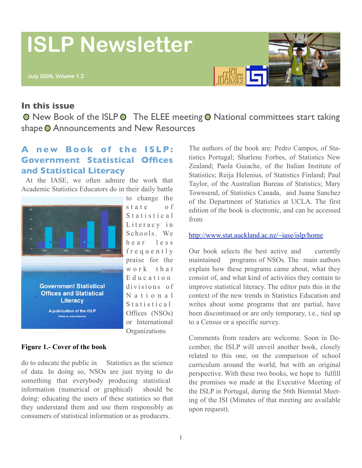# **ISLP Newsletter**



#### **In this issue**

 $\bullet$  New Book of the ISLP  $\bullet$  The ELEE meeting  $\bullet$  National committees start taking shape O Announcements and New Resources

## **A new Book of the ISLP: Government Statistical Offices and Statistical Literacy**

 At the IASE, we often admire the work that Academic Statistics Educators do in their daily battle



to change the s t a t e o f S t a t i s t i c a l Literacy in Schools. We h e a r l e s s frequently praise for the work that E d u c a t i o n divisions of N a t i o n a 1  $S$  t a t i s t i c a  $l$ Offices (NSOs) or International **Organizations** 

#### **Figure 1.- Cover of the book**

do to educate the public in Statistics as the science of data. In doing so, NSOs are just trying to do something that everybody producing statistical information (numerical or graphical) should be doing: educating the users of these statistics so that they understand them and use them responsibly as consumers of statistical information or as producers.

The authors of the book are: Pedro Campos, of Statistics Portugal; Sharlene Forbes, of Statistics New Zealand; Paola Guiache, of the Italian Institute of Statistics; Reija Helenius, of Statistics Finland; Paul Taylor, of the Australian Bureau of Statistics; Mary Townsend, of Statistics Canada, and Juana Sanchez of the Department of Statistics at UCLA. The first edition of the book is electronic, and can be accessed from

#### <http://www.stat.auckland.ac.nz/~iase/islp/home>

Our book selects the best active and currently maintained programs of NSOs. The main authors explain how these programs came about, what they consist of, and what kind of activities they contain to improve statistical literacy. The editor puts this in the context of the new trends in Statistics Education and writes about some programs that are partial, have been discontinued or are only temporary, i.e., tied up to a Census or a specific survey.

Comments from readers are welcome. Soon in December, the ISLP will unveil another book, closely related to this one, on the comparison of school curriculum around the world, but with an original perspective. With these two books, we hope to fulfill the promises we made at the Executive Meeting of the ISLP in Portugal, during the 56th Biennial Meeting of the ISI (Minutes of that meeting are available upon request).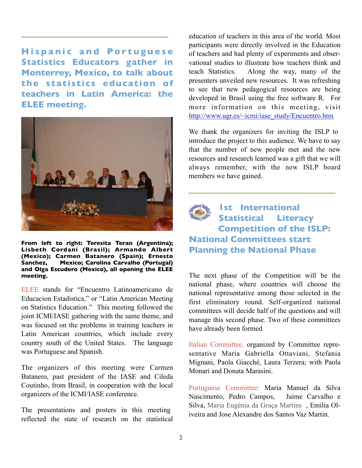**Hispanic and Portuguese Statistics Educators gather in Monterrey, Mexico, to talk about the statistics education of teachers in Latin America: the ELEE meeting.** 



**From left to right: Teresita Teran (Argentina); Lisbeth Cordani (Brasil); Armando Albert (Mexico); Carmen Batanero (Spain); Ernesto Sanchez, Mexico; Carolina Carvalho (Portugal) and Olga Escudero (Mexico), all opening the ELEE meeting.** 

ELEE stands for "Encuentro Latinoamericano de Educacion Estadistica," or "Latin American Meeting on Statistics Education." This meeting followed the joint ICMI/IASE gathering with the same theme, and was focused on the problems in training teachers in Latin American countries, which include every country south of the United States. The language was Portuguese and Spanish.

The organizers of this meeting were Carmen Batanero, past president of the IASE and Cileda Coutinho, from Brasil, in cooperation with the local organizers of the ICMI/IASE conference.

The presentations and posters in this meeting reflected the state of research on the statistical

education of teachers in this area of the world. Most participants were directly involved in the Education of teachers and had plenty of experiments and observational studies to illustrate how teachers think and teach Statistics. Along the way, many of the presenters unveiled new resources. It was refreshing to see that new pedagogical resources are being developed in Brasil using the free software R. For more information on this meeting, visit [http://www.ugr.es/~icmi/iase\\_study/Encuentro.htm](http://www.ugr.es/~icmi/iase_study/Encuentro.htm)

We thank the organizers for inviting the ISLP to introduce the project to this audience. We have to say that the number of new people met and the new resources and research learned was a gift that we will always remember, with the new ISLP board members we have gained.



## **1st International Statistical Literacy Competition of the ISLP: National Committees start Planning the National Phase**

The next phase of the Competition will be the national phase, where countries will choose the national representative among those selected in the first eliminatory round. Self-organized national committees will decide half of the questions and will manage this second phase. Two of these committees have already been formed

Italian Committee, organized by Committee representative Maria Gabriella Ottaviani, Stefania Mignani, Paola Giacché, Laura Terzera; with Paola Monari and Donata Marasini.

Portuguese Committee: Maria Manuel da Silva Nascimento, Pedro Campos, Jaime Carvalho e Silva, Maria Eugénia da Graça Martins , Emilia Oliveira and Jose Alexandre dos Santos Vaz Martin.